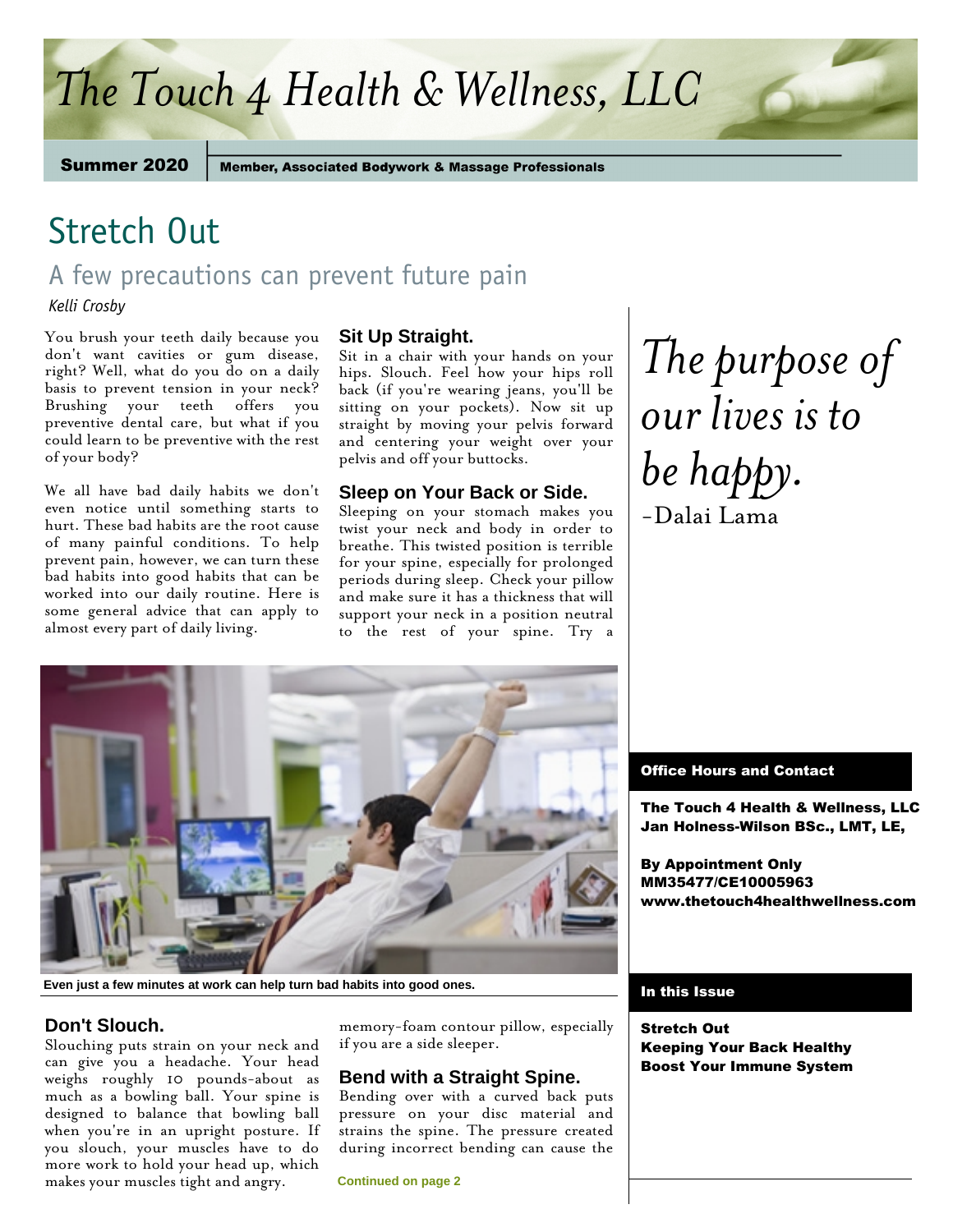# *The Touch 4 Health & Wellness, LLC*

Summer 2020

**Member, Associated Bodywork & Massage Professionals** 

## Stretch Out

## A few precautions can prevent future pain

*Kelli Crosby* 

You brush your teeth daily because you don't want cavities or gum disease, right? Well, what do you do on a daily basis to prevent tension in your neck? Brushing your teeth offers you preventive dental care, but what if you could learn to be preventive with the rest of your body?

We all have bad daily habits we don't even notice until something starts to hurt. These bad habits are the root cause of many painful conditions. To help prevent pain, however, we can turn these bad habits into good habits that can be worked into our daily routine. Here is some general advice that can apply to almost every part of daily living.

## **Sit Up Straight.**

Sit in a chair with your hands on your hips. Slouch. Feel how your hips roll back (if you're wearing jeans, you'll be sitting on your pockets). Now sit up straight by moving your pelvis forward and centering your weight over your pelvis and off your buttocks.

## **Sleep on Your Back or Side.**

Sleeping on your stomach makes you twist your neck and body in order to breathe. This twisted position is terrible for your spine, especially for prolonged periods during sleep. Check your pillow and make sure it has a thickness that will support your neck in a position neutral to the rest of your spine. Try a *The purpose of our lives is to be happy.* -Dalai Lama



**Even just a few minutes at work can help turn bad habits into good ones.**

## **Don't Slouch.**

Slouching puts strain on your neck and can give you a headache. Your head weighs roughly 10 pounds-about as much as a bowling ball. Your spine is designed to balance that bowling ball when you're in an upright posture. If you slouch, your muscles have to do more work to hold your head up, which makes your muscles tight and angry.

memory-foam contour pillow, especially if you are a side sleeper.

## **Bend with a Straight Spine.**

Bending over with a curved back puts pressure on your disc material and strains the spine. The pressure created during incorrect bending can cause the

**Continued on page 2**

## Office Hours and Contact

The Touch 4 Health & Wellness, LLC Jan Holness-Wilson BSc., LMT, LE,

By Appointment Only MM35477/CE10005963 www.thetouch4healthwellness.com

### In this Issue

Stretch Out Keeping Your Back Healthy Boost Your Immune System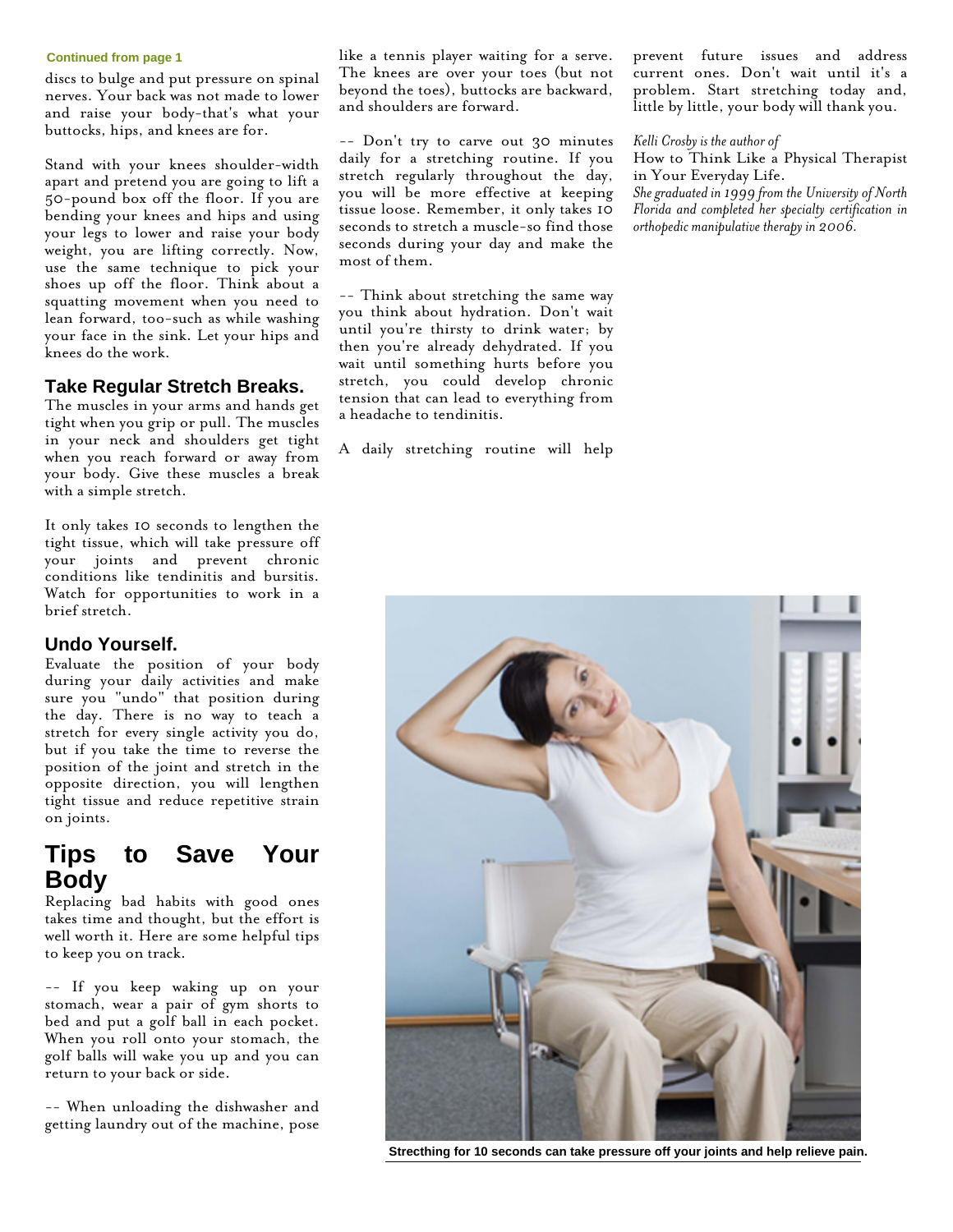#### **Continued from page 1**

discs to bulge and put pressure on spinal nerves. Your back was not made to lower and raise your body-that's what your buttocks, hips, and knees are for.

Stand with your knees shoulder-width apart and pretend you are going to lift a 50-pound box off the floor. If you are bending your knees and hips and using your legs to lower and raise your body weight, you are lifting correctly. Now, use the same technique to pick your shoes up off the floor. Think about a squatting movement when you need to lean forward, too-such as while washing your face in the sink. Let your hips and knees do the work.

## **Take Regular Stretch Breaks.**

The muscles in your arms and hands get tight when you grip or pull. The muscles in your neck and shoulders get tight when you reach forward or away from your body. Give these muscles a break with a simple stretch.

It only takes 10 seconds to lengthen the tight tissue, which will take pressure off your joints and prevent chronic conditions like tendinitis and bursitis. Watch for opportunities to work in a brief stretch.

### **Undo Yourself.**

Evaluate the position of your body during your daily activities and make sure you "undo" that position during the day. There is no way to teach a stretch for every single activity you do, but if you take the time to reverse the position of the joint and stretch in the opposite direction, you will lengthen tight tissue and reduce repetitive strain on joints.

## **Tips to Save Your Body**

Replacing bad habits with good ones takes time and thought, but the effort is well worth it. Here are some helpful tips to keep you on track.

-- If you keep waking up on your stomach, wear a pair of gym shorts to bed and put a golf ball in each pocket. When you roll onto your stomach, the golf balls will wake you up and you can return to your back or side.

-- When unloading the dishwasher and getting laundry out of the machine, pose like a tennis player waiting for a serve. The knees are over your toes (but not beyond the toes), buttocks are backward, and shoulders are forward.

-- Don't try to carve out 30 minutes daily for a stretching routine. If you stretch regularly throughout the day, you will be more effective at keeping tissue loose. Remember, it only takes 10 seconds to stretch a muscle-so find those seconds during your day and make the most of them.

-- Think about stretching the same way you think about hydration. Don't wait until you're thirsty to drink water; by then you're already dehydrated. If you wait until something hurts before you stretch, you could develop chronic tension that can lead to everything from a headache to tendinitis.

A daily stretching routine will help

prevent future issues and address current ones. Don't wait until it's a problem. Start stretching today and, little by little, your body will thank you.

*Kelli Crosby is the author of*

How to Think Like a Physical Therapist in Your Everyday Life.

*She graduated in 1999 from the University of North Florida and completed her specialty certification in orthopedic manipulative therapy in 2006.*



**Strecthing for 10 seconds can take pressure off your joints and help relieve pain.**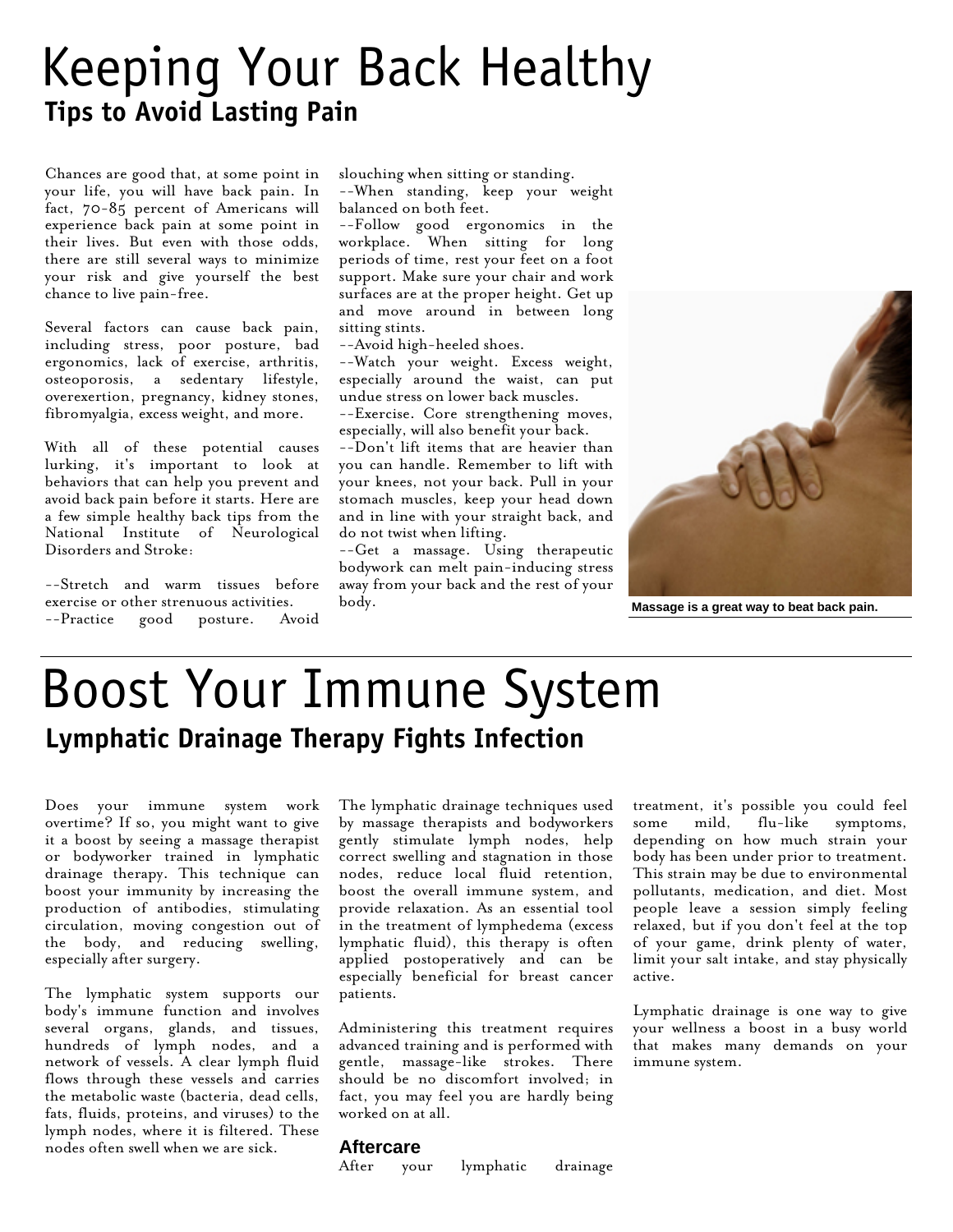# Keeping Your Back Healthy **Tips to Avoid Lasting Pain**

Chances are good that, at some point in your life, you will have back pain. In fact, 70-85 percent of Americans will experience back pain at some point in their lives. But even with those odds, there are still several ways to minimize your risk and give yourself the best chance to live pain-free.

Several factors can cause back pain, including stress, poor posture, bad ergonomics, lack of exercise, arthritis, osteoporosis, a sedentary lifestyle, overexertion, pregnancy, kidney stones, fibromyalgia, excess weight, and more.

With all of these potential causes lurking, it's important to look at behaviors that can help you prevent and avoid back pain before it starts. Here are a few simple healthy back tips from the National Institute of Neurological Disorders and Stroke:

--Stretch and warm tissues before exercise or other strenuous activities. --Practice good posture. Avoid

slouching when sitting or standing. --When standing, keep your weight balanced on both feet.

--Follow good ergonomics in the workplace. When sitting for long periods of time, rest your feet on a foot support. Make sure your chair and work surfaces are at the proper height. Get up and move around in between long sitting stints.

--Avoid high-heeled shoes.

--Watch your weight. Excess weight, especially around the waist, can put undue stress on lower back muscles.

--Exercise. Core strengthening moves, especially, will also benefit your back.

--Don't lift items that are heavier than you can handle. Remember to lift with your knees, not your back. Pull in your stomach muscles, keep your head down and in line with your straight back, and do not twist when lifting.

--Get a massage. Using therapeutic bodywork can melt pain-inducing stress away from your back and the rest of your body.



**Massage is a great way to beat back pain.**

# Boost Your Immune System **Lymphatic Drainage Therapy Fights Infection**

Does your immune system work overtime? If so, you might want to give it a boost by seeing a massage therapist or bodyworker trained in lymphatic drainage therapy. This technique can boost your immunity by increasing the production of antibodies, stimulating circulation, moving congestion out of the body, and reducing swelling, especially after surgery.

The lymphatic system supports our body's immune function and involves several organs, glands, and tissues, hundreds of lymph nodes, and a network of vessels. A clear lymph fluid flows through these vessels and carries the metabolic waste (bacteria, dead cells, fats, fluids, proteins, and viruses) to the lymph nodes, where it is filtered. These nodes often swell when we are sick.

The lymphatic drainage techniques used by massage therapists and bodyworkers gently stimulate lymph nodes, help correct swelling and stagnation in those nodes, reduce local fluid retention, boost the overall immune system, and provide relaxation. As an essential tool in the treatment of lymphedema (excess lymphatic fluid), this therapy is often applied postoperatively and can be especially beneficial for breast cancer patients.

Administering this treatment requires advanced training and is performed with gentle, massage-like strokes. There should be no discomfort involved; in fact, you may feel you are hardly being worked on at all.

treatment, it's possible you could feel some mild, flu-like symptoms, depending on how much strain your body has been under prior to treatment. This strain may be due to environmental pollutants, medication, and diet. Most people leave a session simply feeling relaxed, but if you don't feel at the top of your game, drink plenty of water, limit your salt intake, and stay physically active.

Lymphatic drainage is one way to give your wellness a boost in a busy world that makes many demands on your immune system.

### **Aftercare**

After your lymphatic drainage